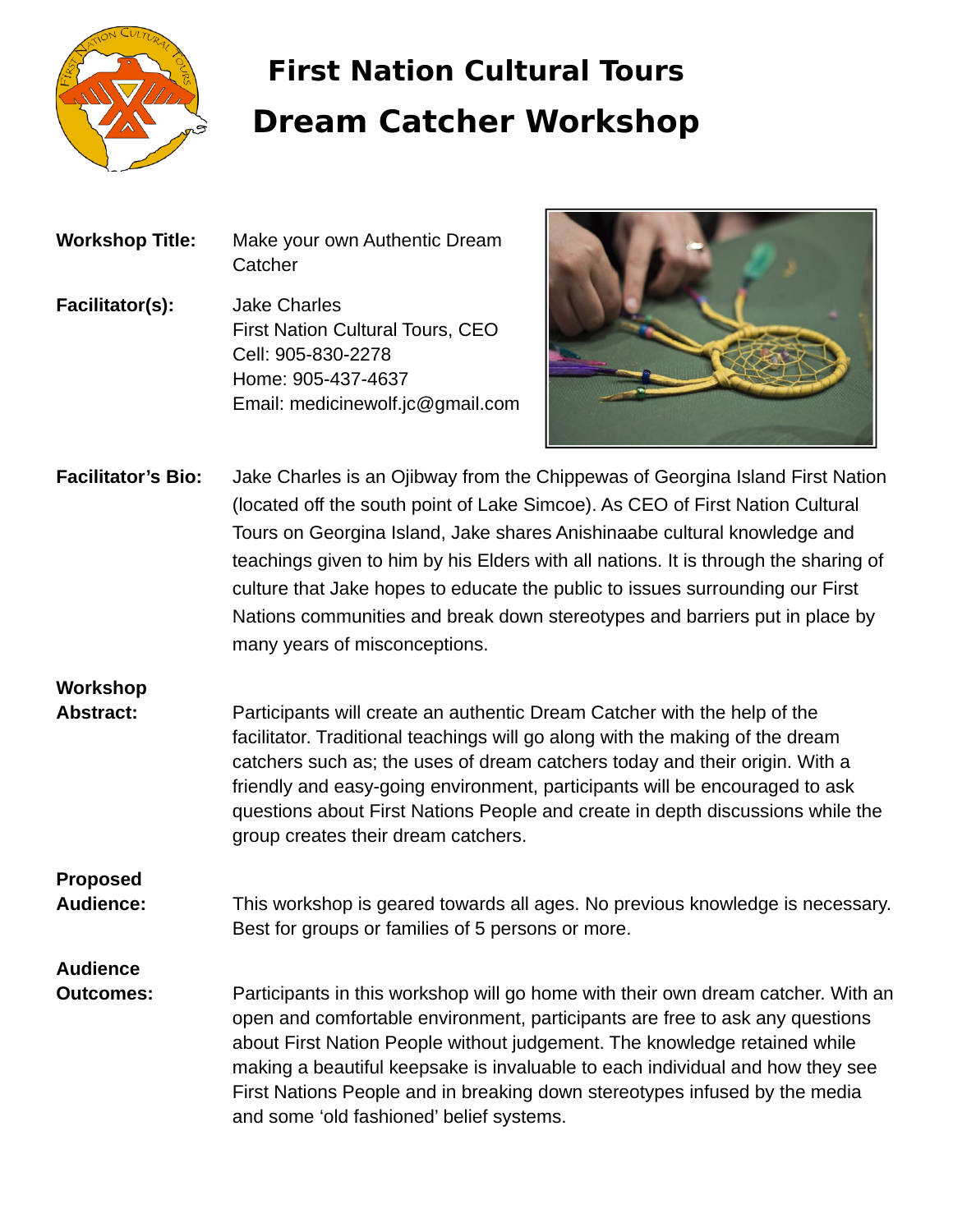

# **First Nation Cultural Tours Dream Catcher Workshop**

| <b>Workshop Title:</b> | Make your own Authentic Dream<br>Catcher |
|------------------------|------------------------------------------|
| Facilitator(s):        | <b>Jake Charles</b>                      |
|                        | <b>First Nation Cultural Tours, CEO</b>  |
|                        | Cell: 905-830-2278                       |
|                        | Home: 905-437-4637                       |
|                        | Email: medicinewolf.jc@gmail.com         |



**Facilitator's Bio:** Jake Charles is an Ojibway from the Chippewas of Georgina Island First Nation (located off the south point of Lake Simcoe). As CEO of First Nation Cultural Tours on Georgina Island, Jake shares Anishinaabe cultural knowledge and teachings given to him by his Elders with all nations. It is through the sharing of culture that Jake hopes to educate the public to issues surrounding our First Nations communities and break down stereotypes and barriers put in place by many years of misconceptions.

#### **Workshop**

**Abstract:** Participants will create an authentic Dream Catcher with the help of the facilitator. Traditional teachings will go along with the making of the dream catchers such as; the uses of dream catchers today and their origin. With a friendly and easy-going environment, participants will be encouraged to ask questions about First Nations People and create in depth discussions while the group creates their dream catchers.

### **Proposed**

**Audience:** This workshop is geared towards all ages. No previous knowledge is necessary. Best for groups or families of 5 persons or more.

## **Audience**

**Outcomes:** Participants in this workshop will go home with their own dream catcher. With an open and comfortable environment, participants are free to ask any questions about First Nation People without judgement. The knowledge retained while making a beautiful keepsake is invaluable to each individual and how they see First Nations People and in breaking down stereotypes infused by the media and some 'old fashioned' belief systems.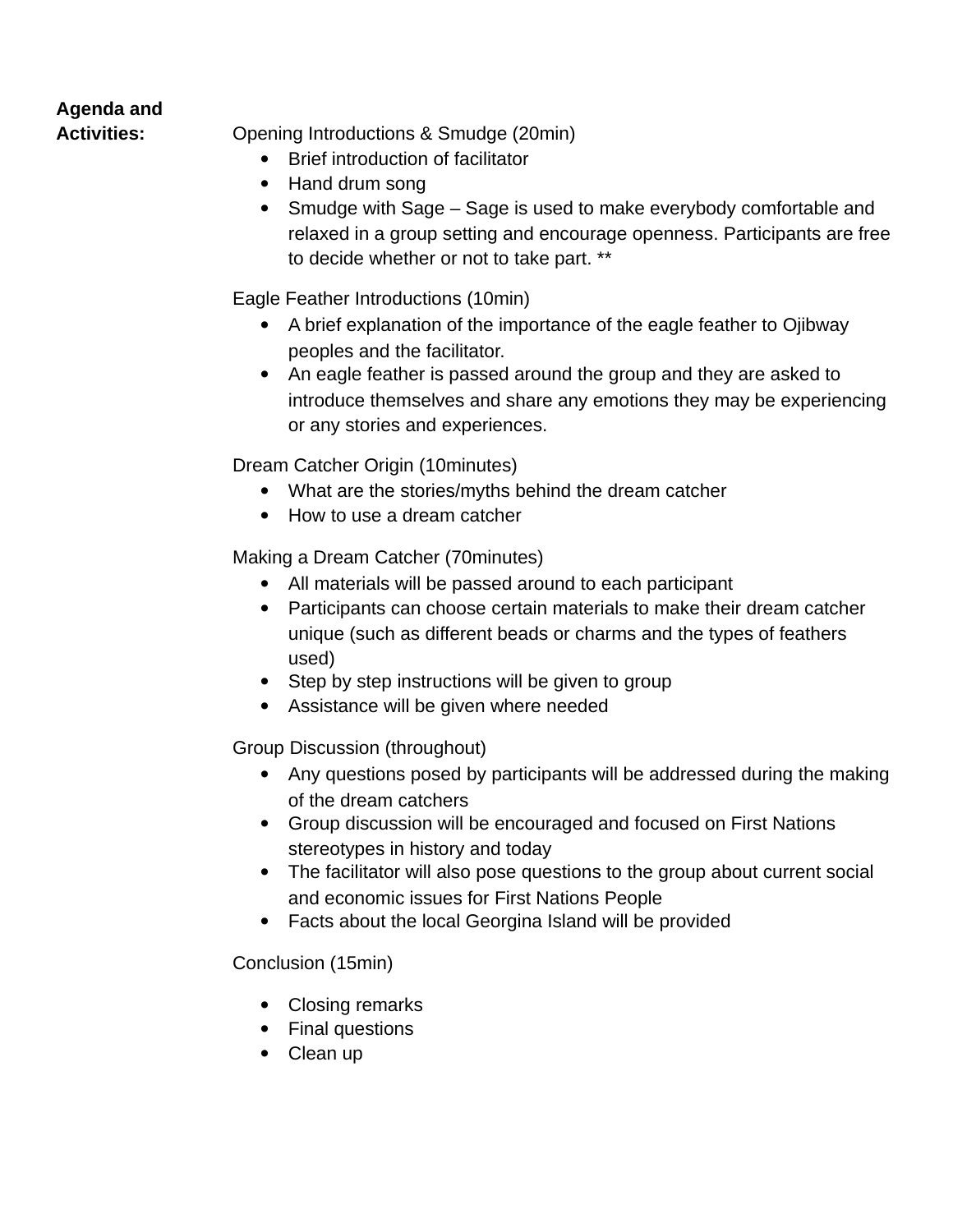#### **Agenda and**

**Activities:** Opening Introductions & Smudge (20min)

- Brief introduction of facilitator
- Hand drum song
- Smudge with Sage Sage is used to make everybody comfortable and relaxed in a group setting and encourage openness. Participants are free to decide whether or not to take part. \*\*

Eagle Feather Introductions (10min)

- A brief explanation of the importance of the eagle feather to Ojibway peoples and the facilitator.
- An eagle feather is passed around the group and they are asked to introduce themselves and share any emotions they may be experiencing or any stories and experiences.

Dream Catcher Origin (10minutes)

- What are the stories/myths behind the dream catcher
- How to use a dream catcher

Making a Dream Catcher (70minutes)

- All materials will be passed around to each participant
- Participants can choose certain materials to make their dream catcher unique (such as different beads or charms and the types of feathers used)
- Step by step instructions will be given to group
- Assistance will be given where needed

Group Discussion (throughout)

- Any questions posed by participants will be addressed during the making of the dream catchers
- Group discussion will be encouraged and focused on First Nations stereotypes in history and today
- The facilitator will also pose questions to the group about current social and economic issues for First Nations People
- Facts about the local Georgina Island will be provided

Conclusion (15min)

- Closing remarks
- Final questions
- Clean up